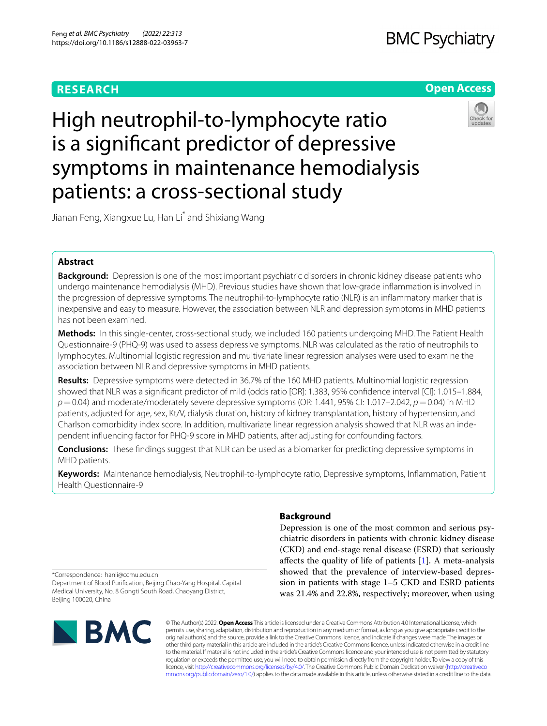# **RESEARCH**

# **BMC Psychiatry**

# **Open Access**



High neutrophil-to-lymphocyte ratio is a signifcant predictor of depressive symptoms in maintenance hemodialysis patients: a cross-sectional study

Jianan Feng, Xiangxue Lu, Han Li\* and Shixiang Wang

# **Abstract**

**Background:** Depression is one of the most important psychiatric disorders in chronic kidney disease patients who undergo maintenance hemodialysis (MHD). Previous studies have shown that low-grade infammation is involved in the progression of depressive symptoms. The neutrophil-to-lymphocyte ratio (NLR) is an infammatory marker that is inexpensive and easy to measure. However, the association between NLR and depression symptoms in MHD patients has not been examined.

**Methods:** In this single-center, cross-sectional study, we included 160 patients undergoing MHD. The Patient Health Questionnaire-9 (PHQ-9) was used to assess depressive symptoms. NLR was calculated as the ratio of neutrophils to lymphocytes. Multinomial logistic regression and multivariate linear regression analyses were used to examine the association between NLR and depressive symptoms in MHD patients.

**Results:** Depressive symptoms were detected in 36.7% of the 160 MHD patients. Multinomial logistic regression showed that NLR was a signifcant predictor of mild (odds ratio [OR]: 1.383, 95% confdence interval [CI]: 1.015–1.884, *p*=0.04) and moderate/moderately severe depressive symptoms (OR: 1.441, 95% CI: 1.017–2.042, *p*=0.04) in MHD patients, adjusted for age, sex, Kt/V, dialysis duration, history of kidney transplantation, history of hypertension, and Charlson comorbidity index score. In addition, multivariate linear regression analysis showed that NLR was an independent infuencing factor for PHQ-9 score in MHD patients, after adjusting for confounding factors.

**Conclusions:** These fndings suggest that NLR can be used as a biomarker for predicting depressive symptoms in MHD patients.

**Keywords:** Maintenance hemodialysis, Neutrophil-to-lymphocyte ratio, Depressive symptoms, Infammation, Patient Health Questionnaire-9

# **Background**

Depression is one of the most common and serious psychiatric disorders in patients with chronic kidney disease (CKD) and end-stage renal disease (ESRD) that seriously afects the quality of life of patients [[1\]](#page-6-0). A meta-analysis showed that the prevalence of interview-based depression in patients with stage 1–5 CKD and ESRD patients was 21.4% and 22.8%, respectively; moreover, when using

\*Correspondence: hanli@ccmu.edu.cn

Department of Blood Purifcation, Beijing Chao-Yang Hospital, Capital Medical University, No. 8 Gongti South Road, Chaoyang District, Beijing 100020, China



© The Author(s) 2022. **Open Access** This article is licensed under a Creative Commons Attribution 4.0 International License, which permits use, sharing, adaptation, distribution and reproduction in any medium or format, as long as you give appropriate credit to the original author(s) and the source, provide a link to the Creative Commons licence, and indicate if changes were made. The images or other third party material in this article are included in the article's Creative Commons licence, unless indicated otherwise in a credit line to the material. If material is not included in the article's Creative Commons licence and your intended use is not permitted by statutory regulation or exceeds the permitted use, you will need to obtain permission directly from the copyright holder. To view a copy of this licence, visit [http://creativecommons.org/licenses/by/4.0/.](http://creativecommons.org/licenses/by/4.0/) The Creative Commons Public Domain Dedication waiver ([http://creativeco](http://creativecommons.org/publicdomain/zero/1.0/) [mmons.org/publicdomain/zero/1.0/](http://creativecommons.org/publicdomain/zero/1.0/)) applies to the data made available in this article, unless otherwise stated in a credit line to the data.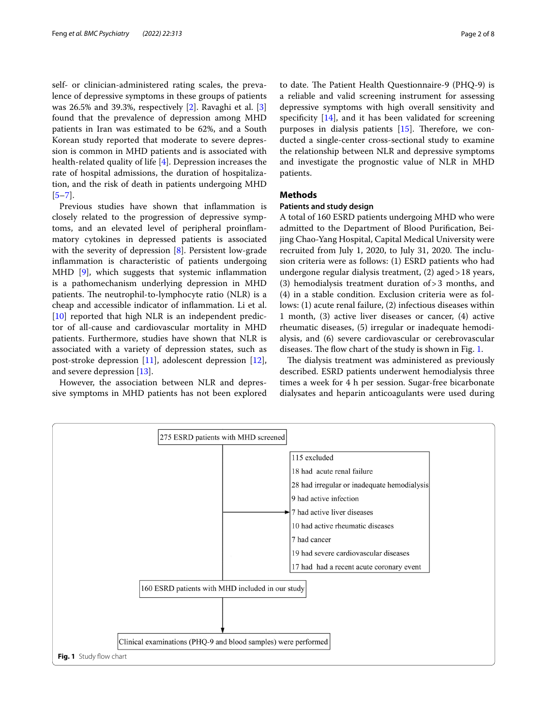self- or clinician-administered rating scales, the prevalence of depressive symptoms in these groups of patients was 26.5% and 39.3%, respectively [[2\]](#page-6-1). Ravaghi et al. [\[3](#page-6-2)] found that the prevalence of depression among MHD patients in Iran was estimated to be 62%, and a South Korean study reported that moderate to severe depression is common in MHD patients and is associated with health-related quality of life [[4\]](#page-6-3). Depression increases the rate of hospital admissions, the duration of hospitalization, and the risk of death in patients undergoing MHD  $[5-7]$  $[5-7]$ .

Previous studies have shown that infammation is closely related to the progression of depressive symptoms, and an elevated level of peripheral proinfammatory cytokines in depressed patients is associated with the severity of depression [\[8](#page-6-6)]. Persistent low-grade infammation is characteristic of patients undergoing MHD  $[9]$  $[9]$ , which suggests that systemic inflammation is a pathomechanism underlying depression in MHD patients. The neutrophil-to-lymphocyte ratio (NLR) is a cheap and accessible indicator of infammation. Li et al.  $[10]$  $[10]$  reported that high NLR is an independent predictor of all-cause and cardiovascular mortality in MHD patients. Furthermore, studies have shown that NLR is associated with a variety of depression states, such as post-stroke depression [[11\]](#page-6-9), adolescent depression [\[12](#page-6-10)], and severe depression [[13\]](#page-6-11).

However, the association between NLR and depressive symptoms in MHD patients has not been explored to date. The Patient Health Questionnaire-9 (PHQ-9) is a reliable and valid screening instrument for assessing depressive symptoms with high overall sensitivity and specificity  $[14]$ , and it has been validated for screening purposes in dialysis patients  $[15]$ . Therefore, we conducted a single-center cross-sectional study to examine the relationship between NLR and depressive symptoms and investigate the prognostic value of NLR in MHD patients.

# **Methods**

# **Patients and study design**

A total of 160 ESRD patients undergoing MHD who were admitted to the Department of Blood Purifcation, Beijing Chao-Yang Hospital, Capital Medical University were recruited from July 1, 2020, to July 31, 2020. The inclusion criteria were as follows: (1) ESRD patients who had undergone regular dialysis treatment, (2) aged>18 years, (3) hemodialysis treatment duration of>3 months, and (4) in a stable condition. Exclusion criteria were as follows: (1) acute renal failure, (2) infectious diseases within 1 month, (3) active liver diseases or cancer, (4) active rheumatic diseases, (5) irregular or inadequate hemodialysis, and (6) severe cardiovascular or cerebrovascular diseases. The flow chart of the study is shown in Fig. [1](#page-1-0).

The dialysis treatment was administered as previously described. ESRD patients underwent hemodialysis three times a week for 4 h per session. Sugar-free bicarbonate dialysates and heparin anticoagulants were used during

<span id="page-1-0"></span>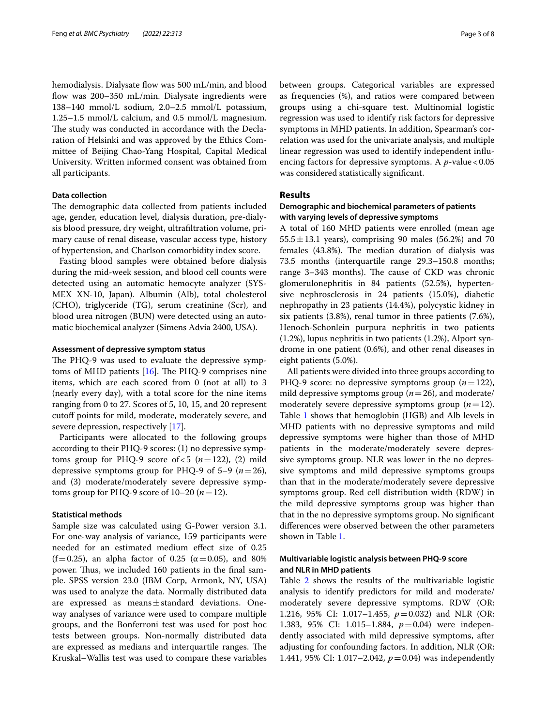hemodialysis. Dialysate flow was 500 mL/min, and blood flow was 200–350 mL/min. Dialysate ingredients were 138–140 mmol/L sodium, 2.0–2.5 mmol/L potassium, 1.25–1.5 mmol/L calcium, and 0.5 mmol/L magnesium. The study was conducted in accordance with the Declaration of Helsinki and was approved by the Ethics Committee of Beijing Chao-Yang Hospital, Capital Medical University. Written informed consent was obtained from all participants.

# **Data collection**

The demographic data collected from patients included age, gender, education level, dialysis duration, pre-dialysis blood pressure, dry weight, ultrafltration volume, primary cause of renal disease, vascular access type, history of hypertension, and Charlson comorbidity index score.

Fasting blood samples were obtained before dialysis during the mid-week session, and blood cell counts were detected using an automatic hemocyte analyzer (SYS-MEX XN-10, Japan). Albumin (Alb), total cholesterol (CHO), triglyceride (TG), serum creatinine (Scr), and blood urea nitrogen (BUN) were detected using an automatic biochemical analyzer (Simens Advia 2400, USA).

# **Assessment of depressive symptom status**

The PHQ-9 was used to evaluate the depressive symptoms of MHD patients  $[16]$  $[16]$ . The PHQ-9 comprises nine items, which are each scored from 0 (not at all) to 3 (nearly every day), with a total score for the nine items ranging from 0 to 27. Scores of 5, 10, 15, and 20 represent cutoff points for mild, moderate, moderately severe, and severe depression, respectively [\[17\]](#page-7-3).

Participants were allocated to the following groups according to their PHQ-9 scores: (1) no depressive symptoms group for PHQ-9 score of  $< 5$  ( $n=122$ ), (2) mild depressive symptoms group for PHQ-9 of 5–9 (*n*=26), and (3) moderate/moderately severe depressive symptoms group for PHQ-9 score of 10–20 (*n*=12).

# **Statistical methods**

Sample size was calculated using G-Power version 3.1. For one-way analysis of variance, 159 participants were needed for an estimated medium efect size of 0.25 (f=0.25), an alpha factor of 0.25 ( $\alpha$ =0.05), and 80% power. Thus, we included 160 patients in the final sample. SPSS version 23.0 (IBM Corp, Armonk, NY, USA) was used to analyze the data. Normally distributed data are expressed as means±standard deviations. Oneway analyses of variance were used to compare multiple groups, and the Bonferroni test was used for post hoc tests between groups. Non-normally distributed data are expressed as medians and interquartile ranges. The Kruskal–Wallis test was used to compare these variables between groups. Categorical variables are expressed as frequencies (%), and ratios were compared between groups using a chi-square test. Multinomial logistic regression was used to identify risk factors for depressive symptoms in MHD patients. In addition, Spearman's correlation was used for the univariate analysis, and multiple linear regression was used to identify independent infuencing factors for depressive symptoms. A *p*-value < 0.05 was considered statistically signifcant.

## **Results**

# **Demographic and biochemical parameters of patients with varying levels of depressive symptoms**

A total of 160 MHD patients were enrolled (mean age  $55.5 \pm 13.1$  years), comprising 90 males (56.2%) and 70 females (43.8%). The median duration of dialysis was 73.5 months (interquartile range 29.3–150.8 months; range  $3-343$  months). The cause of CKD was chronic glomerulonephritis in 84 patients (52.5%), hypertensive nephrosclerosis in 24 patients (15.0%), diabetic nephropathy in 23 patients (14.4%), polycystic kidney in six patients (3.8%), renal tumor in three patients (7.6%), Henoch-Schonlein purpura nephritis in two patients (1.2%), lupus nephritis in two patients (1.2%), Alport syndrome in one patient (0.6%), and other renal diseases in eight patients (5.0%).

All patients were divided into three groups according to PHQ-9 score: no depressive symptoms group (*n*=122), mild depressive symptoms group (*n*=26), and moderate/ moderately severe depressive symptoms group  $(n=12)$ . Table [1](#page-3-0) shows that hemoglobin (HGB) and Alb levels in MHD patients with no depressive symptoms and mild depressive symptoms were higher than those of MHD patients in the moderate/moderately severe depressive symptoms group. NLR was lower in the no depressive symptoms and mild depressive symptoms groups than that in the moderate/moderately severe depressive symptoms group. Red cell distribution width (RDW) in the mild depressive symptoms group was higher than that in the no depressive symptoms group. No signifcant diferences were observed between the other parameters shown in Table [1.](#page-3-0)

# **Multivariable logistic analysis between PHQ‑9 score and NLR in MHD patients**

Table [2](#page-4-0) shows the results of the multivariable logistic analysis to identify predictors for mild and moderate/ moderately severe depressive symptoms. RDW (OR: 1.216, 95% CI: 1.017–1.455, *p*=0.032) and NLR (OR: 1.383, 95% CI: 1.015–1.884, *p*=0.04) were independently associated with mild depressive symptoms, after adjusting for confounding factors. In addition, NLR (OR: 1.441, 95% CI: 1.017–2.042, *p*=0.04) was independently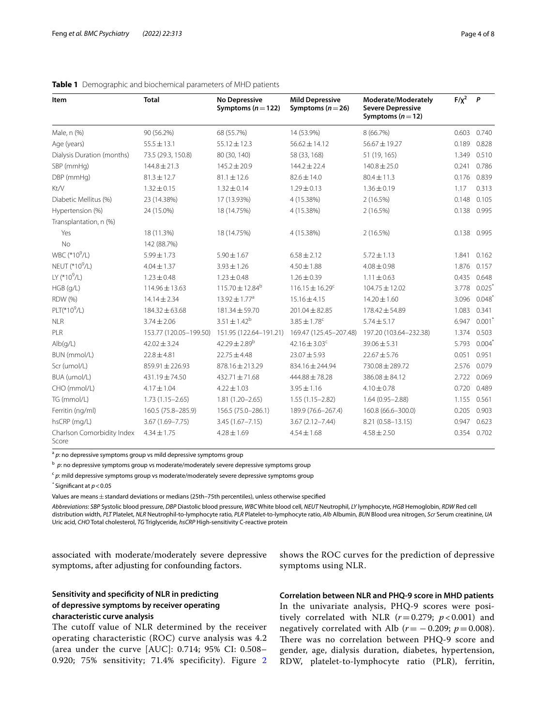| Item                                | <b>Total</b>           | No Depressive<br>Symptoms ( $n = 122$ ) | <b>Mild Depressive</b><br>Symptoms ( $n = 26$ ) | Moderate/Moderately<br><b>Severe Depressive</b><br>Symptoms ( $n = 12$ ) | $F/\chi^2$ | $\overline{P}$<br>0.740 |
|-------------------------------------|------------------------|-----------------------------------------|-------------------------------------------------|--------------------------------------------------------------------------|------------|-------------------------|
| Male, n (%)                         | 90 (56.2%)             | 68 (55.7%)                              | 14 (53.9%)                                      | 8 (66.7%)                                                                | 0.603      |                         |
| Age (years)                         | $55.5 \pm 13.1$        | $55.12 \pm 12.3$                        | $56.62 \pm 14.12$                               | 56.67±19.27                                                              | 0.189      | 0.828                   |
| Dialysis Duration (months)          | 73.5 (29.3, 150.8)     | 80 (30, 140)                            | 58 (33, 168)                                    | 51 (19, 165)                                                             | 1.349      | 0.510                   |
| SBP (mmHg)                          | $144.8 \pm 21.3$       | $145.2 \pm 20.9$                        | $144.2 \pm 22.4$                                | $140.8 \pm 25.0$                                                         | 0.241      | 0.786                   |
| DBP (mmHg)                          | $81.3 \pm 12.7$        | $81.1 \pm 12.6$                         | $82.6 \pm 14.0$                                 | $80.4 \pm 11.3$                                                          | 0.176      | 0.839                   |
| Kt/V                                | $1.32 \pm 0.15$        | $1.32 \pm 0.14$                         | $1.29 \pm 0.13$                                 | $1.36 \pm 0.19$                                                          | 1.17       | 0.313                   |
| Diabetic Mellitus (%)               | 23 (14.38%)            | 17 (13.93%)                             | 4 (15.38%)                                      | 2(16.5%)                                                                 | 0.148      | 0.105                   |
| Hypertension (%)                    | 24 (15.0%)             | 18 (14.75%)                             | 4 (15.38%)                                      | 2(16.5%)                                                                 | 0.138      | 0.995                   |
| Transplantation, n (%)              |                        |                                         |                                                 |                                                                          |            |                         |
| Yes                                 | 18 (11.3%)             | 18 (14.75%)                             | 4 (15.38%)                                      | 2(16.5%)                                                                 |            | 0.138 0.995             |
| <b>No</b>                           | 142 (88.7%)            |                                         |                                                 |                                                                          |            |                         |
| WBC (*10 <sup>9</sup> /L)           | $5.99 \pm 1.73$        | $5.90 \pm 1.67$                         | $6.58 \pm 2.12$                                 | $5.72 \pm 1.13$                                                          | 1.841      | 0.162                   |
| NEUT (*10 <sup>9</sup> /L)          | $4.04 \pm 1.37$        | $3.93 \pm 1.26$                         | $4.50 \pm 1.88$                                 | $4.08 \pm 0.98$                                                          | 1.876      | 0.157                   |
| LY (*10 $^9$ /L)                    | $1.23 \pm 0.48$        | $1.23 \pm 0.48$                         | $1.26 \pm 0.39$                                 | $1.11 \pm 0.63$                                                          | 0.435      | 0.648                   |
| HGB (g/L)                           | $114.96 \pm 13.63$     | $115.70 \pm 12.84^b$                    | $116.15 \pm 16.29^c$                            | $104.75 \pm 12.02$                                                       | 3.778      | 0.025                   |
| <b>RDW (%)</b>                      | $14.14 \pm 2.34$       | 13.92 ± 1.77 <sup>a</sup>               | $15.16 \pm 4.15$                                | $14.20 \pm 1.60$                                                         | 3.096      | 0.048                   |
| PLT(*10 <sup>9</sup> /L)            | 184.32 ± 63.68         | 181.34 ± 59.70                          | $201.04 \pm 82.85$                              | $178.42 \pm 54.89$                                                       | 1.083      | 0.341                   |
| <b>NLR</b>                          | $3.74 \pm 2.06$        | $3.51 \pm 1.42^b$                       | $3.85 \pm 1.78$ <sup>c</sup>                    | $5.74 \pm 5.17$                                                          | 6.947      | 0.001                   |
| PLR                                 | 153.77 (120.05-199.50) | 151.95 (122.64-191.21)                  | 169.47 (125.45-207.48)                          | 197.20 (103.64-232.38)                                                   | 1.374      | 0.503                   |
| Alb(g/L)                            | $42.02 \pm 3.24$       | $42.29 \pm 2.89^{\rm b}$                | 42.16 $\pm$ 3.03 <sup>c</sup>                   | $39.06 \pm 5.31$                                                         | 5.793      | 0.004                   |
| BUN (mmol/L)                        | $22.8 \pm 4.81$        | $22.75 \pm 4.48$                        | $23.07 \pm 5.93$                                | $22.67 \pm 5.76$                                                         | 0.051      | 0.951                   |
| Scr (umol/L)                        | 859.91 ± 226.93        | 878.16 ± 213.29                         | 834.16 ± 244.94                                 | 730.08 ± 289.72                                                          | 2.576      | 0.079                   |
| BUA (umol/L)                        | 431.19±74.50           | 432.71 ± 71.68                          | 444.88 ± 78.28                                  | $386.08 \pm 84.12$                                                       | 2.722      | 0.069                   |
| CHO (mmol/L)                        | $4.17 \pm 1.04$        | $4.22 \pm 1.03$                         | $3.95 \pm 1.16$                                 | $4.10 \pm 0.78$                                                          | 0.720      | 0.489                   |
| TG (mmol/L)                         | $1.73(1.15 - 2.65)$    | $1.81(1.20 - 2.65)$                     | $1.55(1.15 - 2.82)$                             | $1.64(0.95 - 2.88)$                                                      | 1.155      | 0.561                   |
| Ferritin (ng/ml)                    | 160.5 (75.8-285.9)     | 156.5 (75.0-286.1)                      | 189.9 (76.6-267.4)                              | 160.8 (66.6-300.0)                                                       | 0.205      | 0.903                   |
| hsCRP (mg/L)                        | $3.67(1.69 - 7.75)$    | $3.45(1.67 - 7.15)$                     | $3.67(2.12 - 7.44)$                             | 8.21 (0.58-13.15)                                                        | 0.947      | 0.623                   |
| Charlson Comorbidity Index<br>Score | $4.34 \pm 1.75$        | $4.28 \pm 1.69$                         | $4.54 \pm 1.68$                                 | $4.58 \pm 2.50$                                                          | 0.354      | 0.702                   |

# <span id="page-3-0"></span>**Table 1** Demographic and biochemical parameters of MHD patients

<sup>a</sup> p: no depressive symptoms group vs mild depressive symptoms group

<sup>b</sup> p: no depressive symptoms group vs moderate/moderately severe depressive symptoms group

<sup>c</sup> p: mild depressive symptoms group vs moderate/moderately severe depressive symptoms group

*\** Signifcant at *p*<0.05

Values are means±standard deviations or medians (25th–75th percentiles), unless otherwise specifed

*Abbreviations*: *SBP* Systolic blood pressure, *DBP* Diastolic blood pressure, *WBC* White blood cell, *NEUT* Neutrophil, *LY* lymphocyte, *HGB* Hemoglobin, *RDW* Red cell distribution width, *PLT* Platelet, *NLR* Neutrophil-to-lymphocyte ratio, *PLR* Platelet-to-lymphocyte ratio, *Alb* Albumin, *BUN* Blood urea nitrogen, *Scr* Serum creatinine, *UA* Uric acid, *CHO* Total cholesterol, *TG* Triglyceride, *hsCRP* High-sensitivity C-reactive protein

associated with moderate/moderately severe depressive symptoms, after adjusting for confounding factors.

shows the ROC curves for the prediction of depressive symptoms using NLR.

# **Sensitivity and specifcity of NLR in predicting of depressive symptoms by receiver operating characteristic curve analysis**

The cutoff value of NLR determined by the receiver operating characteristic (ROC) curve analysis was 4.2 (area under the curve [AUC]: 0.714; 95% CI: 0.508– 0.920; 75% sensitivity; 71.4% specificity). Figure [2](#page-4-1) **Correlation between NLR and PHQ‑9 score in MHD patients** In the univariate analysis, PHQ-9 scores were positively correlated with NLR  $(r=0.279; p<0.001)$  and negatively correlated with Alb ( $r = -0.209$ ;  $p = 0.008$ ). There was no correlation between PHQ-9 score and gender, age, dialysis duration, diabetes, hypertension, RDW, platelet-to-lymphocyte ratio (PLR), ferritin,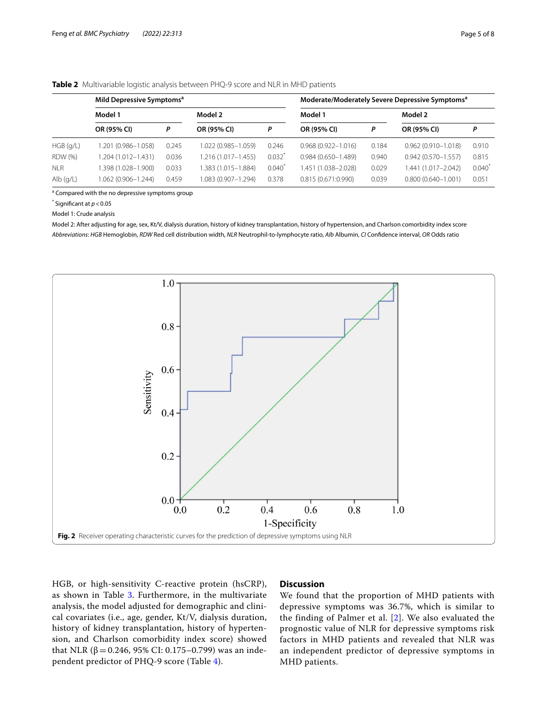# <span id="page-4-0"></span>**Table 2** Multivariable logistic analysis between PHQ-9 score and NLR in MHD patients

|             | Mild Depressive Symptoms <sup>a</sup> |       |                        | Moderate/Moderately Severe Depressive Symptoms <sup>a</sup> |                        |       |                        |           |
|-------------|---------------------------------------|-------|------------------------|-------------------------------------------------------------|------------------------|-------|------------------------|-----------|
|             | Model 1                               |       | Model 2                |                                                             | Model 1                |       | Model 2                |           |
|             | OR (95% CI)                           | P     | OR (95% CI)            | P                                                           | OR (95% CI)            | Ρ     | OR (95% CI)            | Ρ         |
| $HGB$ (g/L) | 1.201 (0.986-1.058)                   | 0.245 | 1.022 (0.985-1.059)    | 0.246                                                       | $0.968(0.922 - 1.016)$ | 0.184 | $0.962(0.910 - 1.018)$ | 0.910     |
| RDW (%)     | 1.204 (1.012-1.431)                   | 0.036 | $1.216(1.017 - 1.455)$ | $0.032$ <sup>*</sup>                                        | $0.984(0.650 - 1.489)$ | 0.940 | $0.942(0.570 - 1.557)$ | 0.815     |
| <b>NLR</b>  | (1.028-1.900). 398 (1.028-1.900       | 0.033 | 1.383 (1.015-1.884)    | $0.040*$                                                    | 1.451 (1.038-2.028)    | 0.029 | 1.441 (1.017-2.042)    | $0.040^*$ |
| $Alb$ (g/L) | 0.62 (0.906-1.244)                    | 0.459 | 1.083 (0.907-1.294)    | 0.378                                                       | 0.815(0.671:0.990)     | 0.039 | $0.800(0.640 - 1.001)$ | 0.051     |

<sup>a</sup> Compared with the no depressive symptoms group

\* Signifcant at *p*<0.05

Model 1: Crude analysis

Model 2: After adjusting for age, sex, Kt/V, dialysis duration, history of kidney transplantation, history of hypertension, and Charlson comorbidity index score *Abbreviations*: *HGB* Hemoglobin, *RDW* Red cell distribution width, *NLR* Neutrophil-to-lymphocyte ratio, *Alb* Albumin, *CI* Confdence interval, *OR* Odds ratio



<span id="page-4-1"></span>HGB, or high-sensitivity C-reactive protein (hsCRP), as shown in Table [3](#page-5-0). Furthermore, in the multivariate analysis, the model adjusted for demographic and clinical covariates (i.e., age, gender, Kt/V, dialysis duration, history of kidney transplantation, history of hypertension, and Charlson comorbidity index score) showed that NLR (β = 0.246, 95% CI: 0.175–0.799) was an independent predictor of PHQ-9 score (Table [4](#page-5-1)).

# **Discussion**

We found that the proportion of MHD patients with depressive symptoms was 36.7%, which is similar to the finding of Palmer et al. [[2](#page-6-1)]. We also evaluated the prognostic value of NLR for depressive symptoms risk factors in MHD patients and revealed that NLR was an independent predictor of depressive symptoms in MHD patients.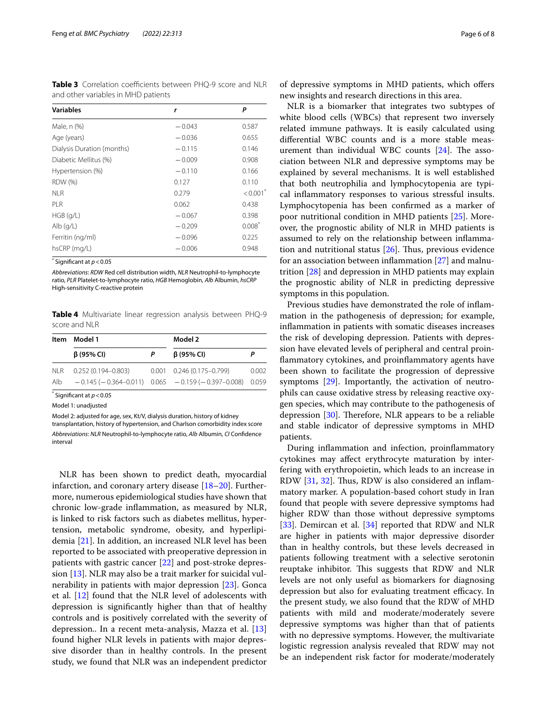<span id="page-5-0"></span>**Table 3** Correlation coefficients between PHQ-9 score and NLR and other variables in MHD patients

| <b>Variables</b>           | r        | Ρ                      |
|----------------------------|----------|------------------------|
| Male, n (%)                | $-0.043$ | 0.587                  |
| Age (years)                | $-0.036$ | 0.655                  |
| Dialysis Duration (months) | $-0.115$ | 0.146                  |
| Diabetic Mellitus (%)      | $-0.009$ | 0.908                  |
| Hypertension (%)           | $-0.110$ | 0.166                  |
| <b>RDW</b> (%)             | 0.127    | 0.110                  |
| <b>NLR</b>                 | 0.279    | $< 0.001$ <sup>*</sup> |
| PLR                        | 0.062    | 0.438                  |
| $HGB$ (g/L)                | $-0.067$ | 0.398                  |
| $Alb$ (g/L)                | $-0.209$ | $0.008^*$              |
| Ferritin (ng/ml)           | $-0.096$ | 0.225                  |
| hsCRP (mg/L)               | $-0.006$ | 0.948                  |

\* Signifcant at *p*<0.05

*Abbreviations*: *RDW* Red cell distribution width, *NLR* Neutrophil-to-lymphocyte ratio, *PLR* Platelet-to-lymphocyte ratio, *HGB* Hemoglobin, *Alb* Albumin, *hsCRP* High-sensitivity C-reactive protein

<span id="page-5-1"></span>**Table 4** Multivariate linear regression analysis between PHQ-9 score and NLR

|            | Item Model 1           |   | Model 2                                                         |       |  |
|------------|------------------------|---|-----------------------------------------------------------------|-------|--|
|            | $\beta$ (95% CI)       | P | $\beta$ (95% CI)                                                | Р     |  |
| <b>NLR</b> | $0.252(0.194 - 0.803)$ |   | $0.001$ $0.246$ (0.175-0.799)                                   | 0.002 |  |
| Alb        |                        |   | $-0.145 (-0.364 - 0.011)$ 0.065 $-0.159 (-0.397 - 0.008)$ 0.059 |       |  |

\* Signifcant at *p*<0.05

Model 1: unadjusted

Model 2: adjusted for age, sex, Kt/V, dialysis duration, history of kidney

transplantation, history of hypertension, and Charlson comorbidity index score *Abbreviations*: *NLR* Neutrophil-to-lymphocyte ratio, *Alb* Albumin, *CI* Confdence interval

NLR has been shown to predict death, myocardial infarction, and coronary artery disease  $[18–20]$  $[18–20]$  $[18–20]$ . Furthermore, numerous epidemiological studies have shown that chronic low-grade infammation, as measured by NLR, is linked to risk factors such as diabetes mellitus, hypertension, metabolic syndrome, obesity, and hyperlipidemia [[21\]](#page-7-6). In addition, an increased NLR level has been reported to be associated with preoperative depression in patients with gastric cancer [[22](#page-7-7)] and post-stroke depression [\[13](#page-6-11)]. NLR may also be a trait marker for suicidal vulnerability in patients with major depression [\[23\]](#page-7-8). Gonca et al. [\[12\]](#page-6-10) found that the NLR level of adolescents with depression is signifcantly higher than that of healthy controls and is positively correlated with the severity of depression.. In a recent meta-analysis, Mazza et al. [[13](#page-6-11)] found higher NLR levels in patients with major depressive disorder than in healthy controls. In the present study, we found that NLR was an independent predictor

of depressive symptoms in MHD patients, which ofers new insights and research directions in this area.

NLR is a biomarker that integrates two subtypes of white blood cells (WBCs) that represent two inversely related immune pathways. It is easily calculated using diferential WBC counts and is a more stable measurement than individual WBC counts  $[24]$ . The association between NLR and depressive symptoms may be explained by several mechanisms. It is well established that both neutrophilia and lymphocytopenia are typical infammatory responses to various stressful insults. Lymphocytopenia has been confrmed as a marker of poor nutritional condition in MHD patients [\[25](#page-7-10)]. Moreover, the prognostic ability of NLR in MHD patients is assumed to rely on the relationship between infammation and nutritional status  $[26]$ . Thus, previous evidence for an association between inflammation  $[27]$  $[27]$  and malnutrition [[28\]](#page-7-13) and depression in MHD patients may explain the prognostic ability of NLR in predicting depressive symptoms in this population.

Previous studies have demonstrated the role of infammation in the pathogenesis of depression; for example, infammation in patients with somatic diseases increases the risk of developing depression. Patients with depression have elevated levels of peripheral and central proinfammatory cytokines, and proinfammatory agents have been shown to facilitate the progression of depressive symptoms [\[29\]](#page-7-14). Importantly, the activation of neutrophils can cause oxidative stress by releasing reactive oxygen species, which may contribute to the pathogenesis of depression  $[30]$  $[30]$ . Therefore, NLR appears to be a reliable and stable indicator of depressive symptoms in MHD patients.

During infammation and infection, proinfammatory cytokines may afect erythrocyte maturation by interfering with erythropoietin, which leads to an increase in RDW [\[31](#page-7-16), [32](#page-7-17)]. Thus, RDW is also considered an inflammatory marker. A population-based cohort study in Iran found that people with severe depressive symptoms had higher RDW than those without depressive symptoms [[33\]](#page-7-18). Demircan et al. [\[34](#page-7-19)] reported that RDW and NLR are higher in patients with major depressive disorder than in healthy controls, but these levels decreased in patients following treatment with a selective serotonin reuptake inhibitor. This suggests that RDW and NLR levels are not only useful as biomarkers for diagnosing depression but also for evaluating treatment efficacy. In the present study, we also found that the RDW of MHD patients with mild and moderate/moderately severe depressive symptoms was higher than that of patients with no depressive symptoms. However, the multivariate logistic regression analysis revealed that RDW may not be an independent risk factor for moderate/moderately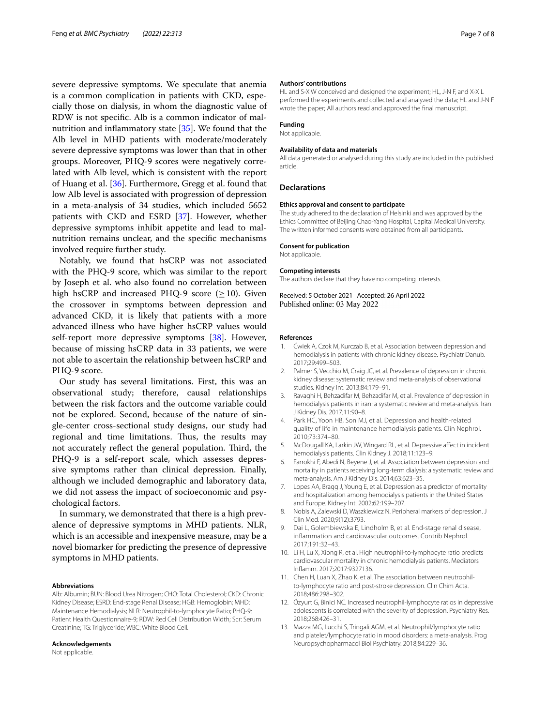severe depressive symptoms. We speculate that anemia is a common complication in patients with CKD, especially those on dialysis, in whom the diagnostic value of RDW is not specifc. Alb is a common indicator of malnutrition and infammatory state [[35](#page-7-20)]. We found that the Alb level in MHD patients with moderate/moderately severe depressive symptoms was lower than that in other groups. Moreover, PHQ-9 scores were negatively correlated with Alb level, which is consistent with the report of Huang et al. [[36\]](#page-7-21). Furthermore, Gregg et al. found that low Alb level is associated with progression of depression in a meta-analysis of 34 studies, which included 5652 patients with CKD and ESRD [[37\]](#page-7-22). However, whether depressive symptoms inhibit appetite and lead to malnutrition remains unclear, and the specifc mechanisms involved require further study.

Notably, we found that hsCRP was not associated with the PHQ-9 score, which was similar to the report by Joseph et al. who also found no correlation between high hsCRP and increased PHQ-9 score ( $\geq$ 10). Given the crossover in symptoms between depression and advanced CKD, it is likely that patients with a more advanced illness who have higher hsCRP values would self-report more depressive symptoms [\[38](#page-7-23)]. However, because of missing hsCRP data in 33 patients, we were not able to ascertain the relationship between hsCRP and PHQ-9 score.

Our study has several limitations. First, this was an observational study; therefore, causal relationships between the risk factors and the outcome variable could not be explored. Second, because of the nature of single-center cross-sectional study designs, our study had regional and time limitations. Thus, the results may not accurately reflect the general population. Third, the PHQ-9 is a self-report scale, which assesses depressive symptoms rather than clinical depression. Finally, although we included demographic and laboratory data, we did not assess the impact of socioeconomic and psychological factors.

In summary, we demonstrated that there is a high prevalence of depressive symptoms in MHD patients. NLR, which is an accessible and inexpensive measure, may be a novel biomarker for predicting the presence of depressive symptoms in MHD patients.

#### **Abbreviations**

Alb: Albumin; BUN: Blood Urea Nitrogen; CHO: Total Cholesterol; CKD: Chronic Kidney Disease; ESRD: End-stage Renal Disease; HGB: Hemoglobin; MHD: Maintenance Hemodialysis; NLR: Neutrophil-to-lymphocyte Ratio; PHQ-9: Patient Health Questionnaire-9; RDW: Red Cell Distribution Width; Scr: Serum Creatinine; TG: Triglyceride; WBC: White Blood Cell.

#### **Acknowledgements**

Not applicable.

#### **Authors' contributions**

HL and S-X W conceived and designed the experiment; HL, J-N F, and X-X L performed the experiments and collected and analyzed the data; HL and J-N F wrote the paper; All authors read and approved the fnal manuscript.

#### **Funding**

Not applicable.

#### **Availability of data and materials**

All data generated or analysed during this study are included in this published article.

#### **Declarations**

### **Ethics approval and consent to participate**

The study adhered to the declaration of Helsinki and was approved by the Ethics Committee of Beijing Chao-Yang Hospital, Capital Medical University. The written informed consents were obtained from all participants.

#### **Consent for publication**

Not applicable.

#### **Competing interests**

The authors declare that they have no competing interests.

Received: 5 October 2021 Accepted: 26 April 2022 Published online: 03 May 2022

#### **References**

- <span id="page-6-0"></span>1. Ćwiek A, Czok M, Kurczab B, et al. Association between depression and hemodialysis in patients with chronic kidney disease. Psychiatr Danub. 2017;29:499–503.
- <span id="page-6-1"></span>2. Palmer S, Vecchio M, Craig JC, et al. Prevalence of depression in chronic kidney disease: systematic review and meta-analysis of observational studies. Kidney Int. 2013;84:179–91.
- <span id="page-6-2"></span>3. Ravaghi H, Behzadifar M, Behzadifar M, et al. Prevalence of depression in hemodialysis patients in iran: a systematic review and meta-analysis. Iran J Kidney Dis. 2017;11:90–8.
- <span id="page-6-3"></span>4. Park HC, Yoon HB, Son MJ, et al. Depression and health-related quality of life in maintenance hemodialysis patients. Clin Nephrol. 2010;73:374–80.
- <span id="page-6-4"></span>5. McDougall KA, Larkin JW, Wingard RL, et al. Depressive afect in incident hemodialysis patients. Clin Kidney J. 2018;11:123–9.
- 6. Farrokhi F, Abedi N, Beyene J, et al. Association between depression and mortality in patients receiving long-term dialysis: a systematic review and meta-analysis. Am J Kidney Dis. 2014;63:623–35.
- <span id="page-6-5"></span>7. Lopes AA, Bragg J, Young E, et al. Depression as a predictor of mortality and hospitalization among hemodialysis patients in the United States and Europe. Kidney Int. 2002;62:199–207.
- <span id="page-6-6"></span>8. Nobis A, Zalewski D, Waszkiewicz N. Peripheral markers of depression. J Clin Med. 2020;9(12):3793.
- <span id="page-6-7"></span>9. Dai L, Golembiewska E, Lindholm B, et al. End-stage renal disease, inflammation and cardiovascular outcomes. Contrib Nephrol. 2017;191:32–43.
- <span id="page-6-8"></span>10. Li H, Lu X, Xiong R, et al. High neutrophil-to-lymphocyte ratio predicts cardiovascular mortality in chronic hemodialysis patients. Mediators Infamm. 2017;2017:9327136.
- <span id="page-6-9"></span>11. Chen H, Luan X, Zhao K, et al. The association between neutrophilto-lymphocyte ratio and post-stroke depression. Clin Chim Acta. 2018;486:298–302.
- <span id="page-6-10"></span>12. Özyurt G, Binici NC. Increased neutrophil-lymphocyte ratios in depressive adolescents is correlated with the severity of depression. Psychiatry Res. 2018;268:426–31.
- <span id="page-6-11"></span>13. Mazza MG, Lucchi S, Tringali AGM, et al. Neutrophil/lymphocyte ratio and platelet/lymphocyte ratio in mood disorders: a meta-analysis. Prog Neuropsychopharmacol Biol Psychiatry. 2018;84:229–36.